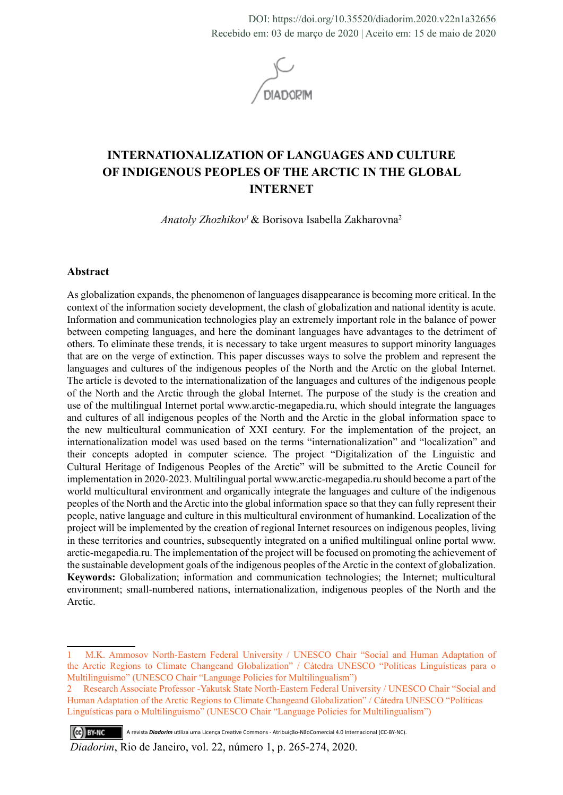DOI: https://doi.org/10.35520/diadorim.2020.v22n1a32656 Recebido em: 03 de março de 2020 | Aceito em: 15 de maio de 2020



# **INTERNATIONALIZATION OF LANGUAGES AND CULTURE OF INDIGENOUS PEOPLES OF THE ARCTIC IN THE GLOBAL INTERNET**

*Anatoly Zhozhikov1*& Borisova Isabella Zakharovna2

#### **Abstract**

As globalization expands, the phenomenon of languages disappearance is becoming more critical. In the context of the information society development, the clash of globalization and national identity is acute. Information and communication technologies play an extremely important role in the balance of power between competing languages, and here the dominant languages have advantages to the detriment of others. To eliminate these trends, it is necessary to take urgent measures to support minority languages that are on the verge of extinction. This paper discusses ways to solve the problem and represent the languages and cultures of the indigenous peoples of the North and the Arctic on the global Internet. The article is devoted to the internationalization of the languages and cultures of the indigenous people of the North and the Arctic through the global Internet. The purpose of the study is the creation and use of the multilingual Internet portal www.arctic-megapedia.ru, which should integrate the languages and cultures of all indigenous peoples of the North and the Arctic in the global information space to the new multicultural communication of XXI century. For the implementation of the project, an internationalization model was used based on the terms "internationalization" and "localization" and their concepts adopted in computer science. The project "Digitalization of the Linguistic and Cultural Heritage of Indigenous Peoples of the Arctic" will be submitted to the Arctic Council for implementation in 2020-2023. Multilingual portal www.arctic-megapedia.ru should become a part of the world multicultural environment and organically integrate the languages and culture of the indigenous peoples of the North and the Arctic into the global information space so that they can fully represent their people, native language and culture in this multicultural environment of humankind. Localization of the project will be implemented by the creation of regional Internet resources on indigenous peoples, living in these territories and countries, subsequently integrated on a unified multilingual online portal www. arctic-megapedia.ru. The implementation of the project will be focused on promoting the achievement of the sustainable development goals of the indigenous peoples of the Arctic in the context of globalization. **Keywords:** Globalization; information and communication technologies; the Internet; multicultural environment; small-numbered nations, internationalization, indigenous peoples of the North and the Arctic.

(cc) BY-NC A revista *Diadorim* utiliza uma Licença Creative Commons - Atribuição-NãoComercial 4.0 Internacional (CC-BY-NC).

*Diadorim*, Rio de Janeiro, vol. 22, número 1, p. 265-274, 2020.

<sup>1</sup> M.K. Ammosov North-Eastern Federal University / UNESCO Chair "Social and Human Adaptation of the Arctic Regions to Climate Changeand Globalization" / Cátedra UNESCO "Políticas Linguísticas para o Multilinguismo" (UNESCO Chair "Language Policies for Multilingualism")

<sup>2</sup> Research Associate Professor -Yakutsk State North-Eastern Federal University / UNESCO Chair "Social and Human Adaptation of the Arctic Regions to Climate Changeand Globalization" / Cátedra UNESCO "Políticas Linguísticas para o Multilinguismo" (UNESCO Chair "Language Policies for Multilingualism")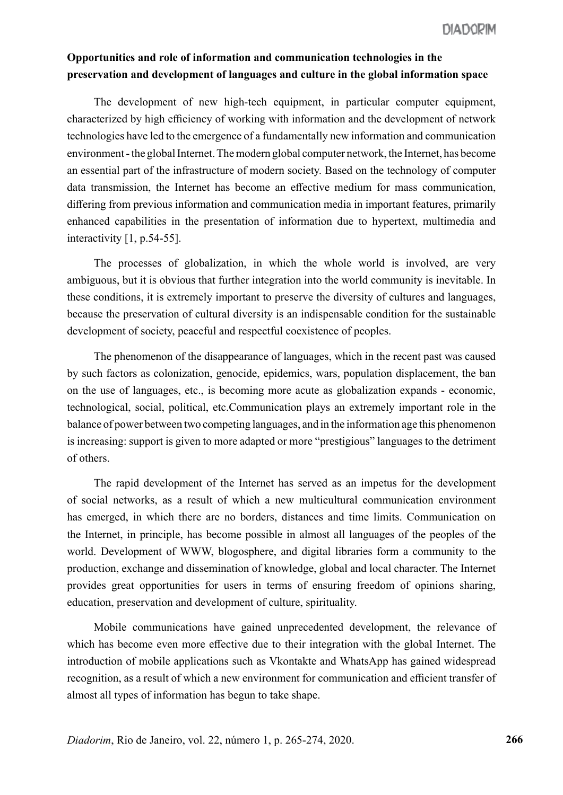## **Opportunities and role of information and communication technologies in the preservation and development of languages and culture in the global information space**

The development of new high-tech equipment, in particular computer equipment, characterized by high efficiency of working with information and the development of network technologies have led to the emergence of a fundamentally new information and communication environment - the global Internet.The modern global computer network, the Internet, has become an essential part of the infrastructure of modern society. Based on the technology of computer data transmission, the Internet has become an effective medium for mass communication, differing from previous information and communication media in important features, primarily enhanced capabilities in the presentation of information due to hypertext, multimedia and interactivity [1, p.54-55].

The processes of globalization, in which the whole world is involved, are very ambiguous, but it is obvious that further integration into the world community is inevitable. In these conditions, it is extremely important to preserve the diversity of cultures and languages, because the preservation of cultural diversity is an indispensable condition for the sustainable development of society, peaceful and respectful coexistence of peoples.

The phenomenon of the disappearance of languages, which in the recent past was caused by such factors as colonization, genocide, epidemics, wars, population displacement, the ban on the use of languages, etc., is becoming more acute as globalization expands - economic, technological, social, political, etc.Communication plays an extremely important role in the balance of power between two competing languages, and in the information age this phenomenon is increasing: support is given to more adapted or more "prestigious" languages to the detriment of others.

The rapid development of the Internet has served as an impetus for the development of social networks, as a result of which a new multicultural communication environment has emerged, in which there are no borders, distances and time limits. Communication on the Internet, in principle, has become possible in almost all languages of the peoples of the world. Development of WWW, blogosphere, and digital libraries form a community to the production, exchange and dissemination of knowledge, global and local character. The Internet provides great opportunities for users in terms of ensuring freedom of opinions sharing, education, preservation and development of culture, spirituality.

Mobile communications have gained unprecedented development, the relevance of which has become even more effective due to their integration with the global Internet. The introduction of mobile applications such as Vkontakte and WhatsApp has gained widespread recognition, as a result of which a new environment for communication and efficient transfer of almost all types of information has begun to take shape.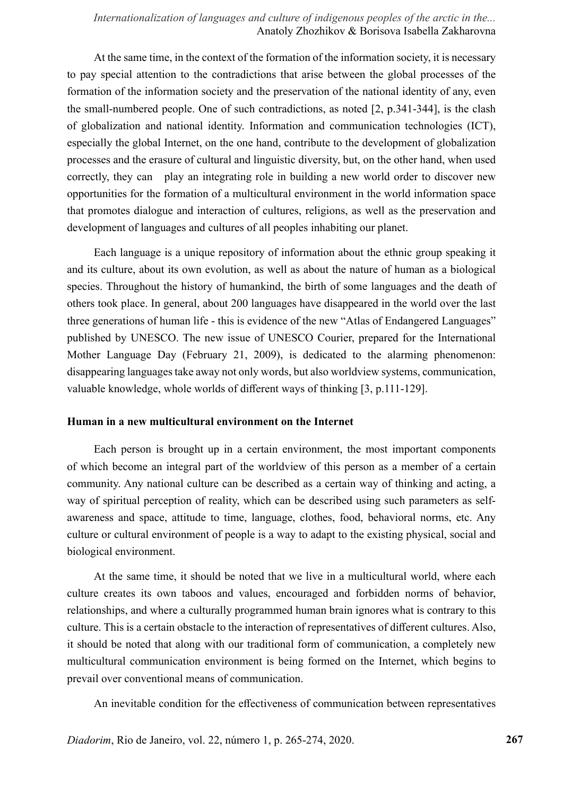## *Internationalization of languages and culture of indigenous peoples of the arctic in the...* Anatoly Zhozhikov & Borisova Isabella Zakharovna

At the same time, in the context of the formation of the information society, it is necessary to pay special attention to the contradictions that arise between the global processes of the formation of the information society and the preservation of the national identity of any, even the small-numbered people. One of such contradictions, as noted [2, p.341-344], is the clash of globalization and national identity. Information and communication technologies (ICT), especially the global Internet, on the one hand, contribute to the development of globalization processes and the erasure of cultural and linguistic diversity, but, on the other hand, when used correctly, they can play an integrating role in building a new world order to discover new opportunities for the formation of a multicultural environment in the world information space that promotes dialogue and interaction of cultures, religions, as well as the preservation and development of languages and cultures of all peoples inhabiting our planet.

Each language is a unique repository of information about the ethnic group speaking it and its culture, about its own evolution, as well as about the nature of human as a biological species. Throughout the history of humankind, the birth of some languages and the death of others took place. In general, about 200 languages have disappeared in the world over the last three generations of human life - this is evidence of the new "Atlas of Endangered Languages" published by UNESCO. The new issue of UNESCO Courier, prepared for the International Mother Language Day (February 21, 2009), is dedicated to the alarming phenomenon: disappearing languages take away not only words, but also worldview systems, communication, valuable knowledge, whole worlds of different ways of thinking [3, p.111-129].

#### **Human in a new multicultural environment on the Internet**

Each person is brought up in a certain environment, the most important components of which become an integral part of the worldview of this person as a member of a certain community. Any national culture can be described as a certain way of thinking and acting, a way of spiritual perception of reality, which can be described using such parameters as selfawareness and space, attitude to time, language, clothes, food, behavioral norms, etc. Any culture or cultural environment of people is a way to adapt to the existing physical, social and biological environment.

At the same time, it should be noted that we live in a multicultural world, where each culture creates its own taboos and values, encouraged and forbidden norms of behavior, relationships, and where a culturally programmed human brain ignores what is contrary to this culture. This is a certain obstacle to the interaction of representatives of different cultures. Also, it should be noted that along with our traditional form of communication, a completely new multicultural communication environment is being formed on the Internet, which begins to prevail over conventional means of communication.

An inevitable condition for the effectiveness of communication between representatives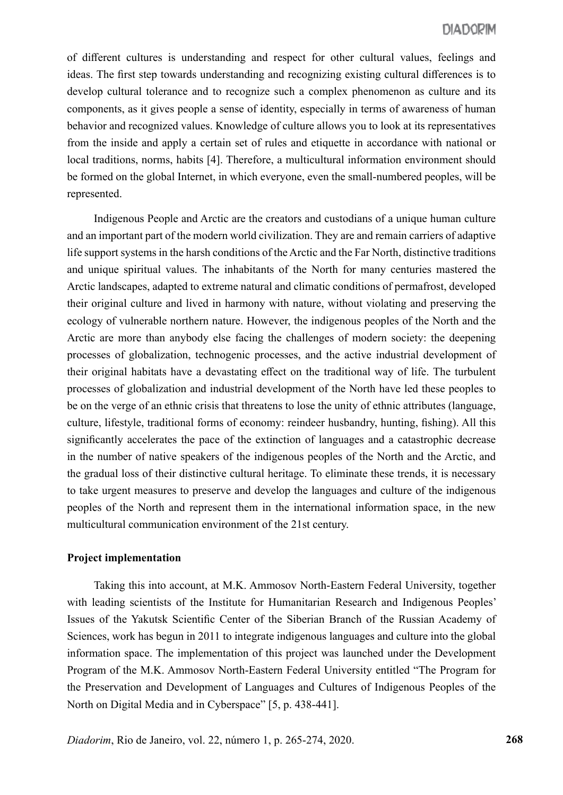of different cultures is understanding and respect for other cultural values, feelings and ideas. The first step towards understanding and recognizing existing cultural differences is to develop cultural tolerance and to recognize such a complex phenomenon as culture and its components, as it gives people a sense of identity, especially in terms of awareness of human behavior and recognized values. Knowledge of culture allows you to look at its representatives from the inside and apply a certain set of rules and etiquette in accordance with national or local traditions, norms, habits [4]. Therefore, a multicultural information environment should be formed on the global Internet, in which everyone, even the small-numbered peoples, will be represented.

Indigenous People and Arctic are the creators and custodians of a unique human culture and an important part of the modern world civilization. They are and remain carriers of adaptive life support systems in the harsh conditions of the Arctic and the Far North, distinctive traditions and unique spiritual values. The inhabitants of the North for many centuries mastered the Arctic landscapes, adapted to extreme natural and climatic conditions of permafrost, developed their original culture and lived in harmony with nature, without violating and preserving the ecology of vulnerable northern nature. However, the indigenous peoples of the North and the Arctic are more than anybody else facing the challenges of modern society: the deepening processes of globalization, technogenic processes, and the active industrial development of their original habitats have a devastating effect on the traditional way of life. The turbulent processes of globalization and industrial development of the North have led these peoples to be on the verge of an ethnic crisis that threatens to lose the unity of ethnic attributes (language, culture, lifestyle, traditional forms of economy: reindeer husbandry, hunting, fishing). All this significantly accelerates the pace of the extinction of languages and a catastrophic decrease in the number of native speakers of the indigenous peoples of the North and the Arctic, and the gradual loss of their distinctive cultural heritage. To eliminate these trends, it is necessary to take urgent measures to preserve and develop the languages and culture of the indigenous peoples of the North and represent them in the international information space, in the new multicultural communication environment of the 21st century.

#### **Project implementation**

Taking this into account, at M.K. Ammosov North-Eastern Federal University, together with leading scientists of the Institute for Humanitarian Research and Indigenous Peoples' Issues of the Yakutsk Scientific Center of the Siberian Branch of the Russian Academy of Sciences, work has begun in 2011 to integrate indigenous languages and culture into the global information space. The implementation of this project was launched under the Development Program of the M.K. Ammosov North-Eastern Federal University entitled "The Program for the Preservation and Development of Languages and Cultures of Indigenous Peoples of the North on Digital Media and in Cyberspace" [5, p. 438-441].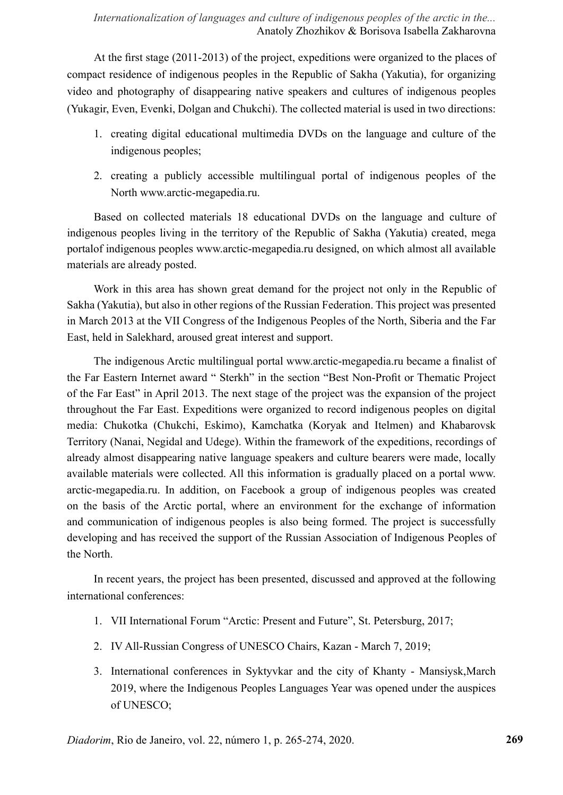At the first stage (2011-2013) of the project, expeditions were organized to the places of compact residence of indigenous peoples in the Republic of Sakha (Yakutia), for organizing video and photography of disappearing native speakers and cultures of indigenous peoples (Yukagir, Even, Evenki, Dolgan and Chukchi). The collected material is used in two directions:

- 1. creating digital educational multimedia DVDs on the language and culture of the indigenous peoples;
- 2. creating a publicly accessible multilingual portal of indigenous peoples of the North www.arctic-megapedia.ru.

Based on collected materials 18 educational DVDs on the language and culture of indigenous peoples living in the territory of the Republic of Sakha (Yakutia) created, mega portalof indigenous peoples www.arctic-megapedia.ru designed, on which almost all available materials are already posted.

Work in this area has shown great demand for the project not only in the Republic of Sakha (Yakutia), but also in other regions of the Russian Federation. This project was presented in March 2013 at the VII Congress of the Indigenous Peoples of the North, Siberia and the Far East, held in Salekhard, aroused great interest and support.

The indigenous Arctic multilingual portal www.arctic-megapedia.ru became a finalist of the Far Eastern Internet award " Sterkh" in the section "Best Non-Profit or Thematic Project of the Far East" in April 2013. The next stage of the project was the expansion of the project throughout the Far East. Expeditions were organized to record indigenous peoples on digital media: Chukotka (Chukchi, Eskimo), Kamchatka (Koryak and Itelmen) and Khabarovsk Territory (Nanai, Negidal and Udege). Within the framework of the expeditions, recordings of already almost disappearing native language speakers and culture bearers were made, locally available materials were collected. All this information is gradually placed on a portal www. arctic-megapedia.ru. In addition, on Facebook a group of indigenous peoples was created on the basis of the Arctic portal, where an environment for the exchange of information and communication of indigenous peoples is also being formed. The project is successfully developing and has received the support of the Russian Association of Indigenous Peoples of the North.

In recent years, the project has been presented, discussed and approved at the following international conferences:

- 1. VII International Forum "Arctic: Present and Future", St. Petersburg, 2017;
- 2. IV All-Russian Congress of UNESCO Chairs, Kazan March 7, 2019;
- 3. International conferences in Syktyvkar and the city of Khanty Mansiysk,March 2019, where the Indigenous Peoples Languages Year was opened under the auspices of UNESCO;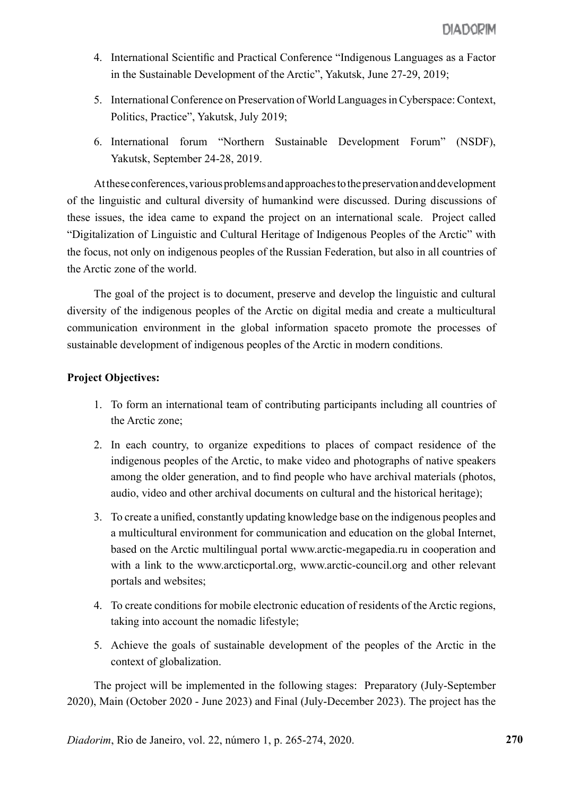- 4. International Scientific and Practical Conference "Indigenous Languages as a Factor in the Sustainable Development of the Arctic", Yakutsk, June 27-29, 2019;
- 5. International Conference on Preservation of World Languages in Cyberspace: Context, Politics, Practice", Yakutsk, July 2019;
- 6. International forum "Northern Sustainable Development Forum" (NSDF), Yakutsk, September 24-28, 2019.

At these conferences, various problems and approaches to the preservation and development of the linguistic and cultural diversity of humankind were discussed. During discussions of these issues, the idea came to expand the project on an international scale. Project called "Digitalization of Linguistic and Cultural Heritage of Indigenous Peoples of the Arctic" with the focus, not only on indigenous peoples of the Russian Federation, but also in all countries of the Arctic zone of the world.

The goal of the project is to document, preserve and develop the linguistic and cultural diversity of the indigenous peoples of the Arctic on digital media and create a multicultural communication environment in the global information spaceto promote the processes of sustainable development of indigenous peoples of the Arctic in modern conditions.

## **Project Objectives:**

- 1. To form an international team of contributing participants including all countries of the Arctic zone;
- 2. In each country, to organize expeditions to places of compact residence of the indigenous peoples of the Arctic, to make video and photographs of native speakers among the older generation, and to find people who have archival materials (photos, audio, video and other archival documents on cultural and the historical heritage);
- 3. To create a unified, constantly updating knowledge base on the indigenous peoples and a multicultural environment for communication and education on the global Internet, based on the Arctic multilingual portal www.arctic-megapedia.ru in cooperation and with a link to the www.arcticportal.org, www.arctic-council.org and other relevant portals and websites;
- 4. To create conditions for mobile electronic education of residents of the Arctic regions, taking into account the nomadic lifestyle;
- 5. Achieve the goals of sustainable development of the peoples of the Arctic in the context of globalization.

The project will be implemented in the following stages: Preparatory (July-September 2020), Main (October 2020 - June 2023) and Final (July-December 2023). The project has the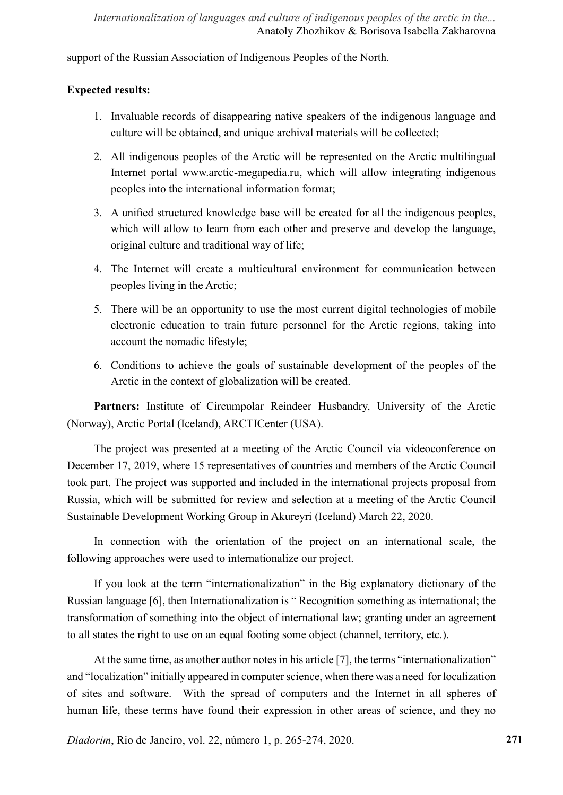support of the Russian Association of Indigenous Peoples of the North.

## **Expected results:**

- 1. Invaluable records of disappearing native speakers of the indigenous language and culture will be obtained, and unique archival materials will be collected;
- 2. All indigenous peoples of the Arctic will be represented on the Arctic multilingual Internet portal www.arctic-megapedia.ru, which will allow integrating indigenous peoples into the international information format;
- 3. A unified structured knowledge base will be created for all the indigenous peoples, which will allow to learn from each other and preserve and develop the language, original culture and traditional way of life;
- 4. The Internet will create a multicultural environment for communication between peoples living in the Arctic;
- 5. There will be an opportunity to use the most current digital technologies of mobile electronic education to train future personnel for the Arctic regions, taking into account the nomadic lifestyle;
- 6. Conditions to achieve the goals of sustainable development of the peoples of the Arctic in the context of globalization will be created.

Partners: Institute of Circumpolar Reindeer Husbandry, University of the Arctic (Norway), Arctic Portal (Iceland), ARCTICenter (USA).

The project was presented at a meeting of the Arctic Council via videoconference on December 17, 2019, where 15 representatives of countries and members of the Arctic Council took part. The project was supported and included in the international projects proposal from Russia, which will be submitted for review and selection at a meeting of the Arctic Council Sustainable Development Working Group in Akureyri (Iceland) March 22, 2020.

In connection with the orientation of the project on an international scale, the following approaches were used to internationalize our project.

If you look at the term "internationalization" in the Big explanatory dictionary of the Russian language [6], then Internationalization is " Recognition something as international; the transformation of something into the object of international law; granting under an agreement to all states the right to use on an equal footing some object (channel, territory, etc.).

At the same time, as another author notes in his article [7], the terms "internationalization" and "localization" initially appeared in computer science, when there was a need for localization of sites and software. With the spread of computers and the Internet in all spheres of human life, these terms have found their expression in other areas of science, and they no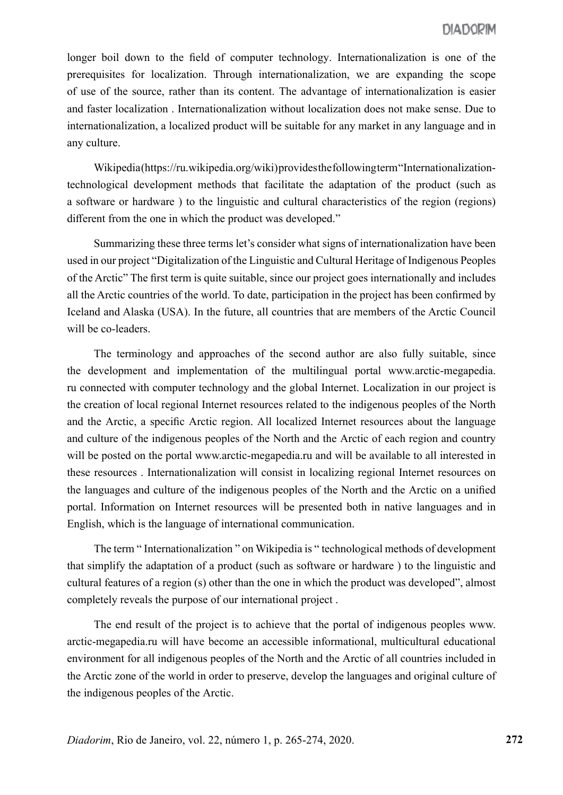longer boil down to the field of computer technology. Internationalization is one of the prerequisites for localization. Through internationalization, we are expanding the scope of use of the source, rather than its content. The advantage of internationalization is easier and faster localization . Internationalization without localization does not make sense. Due to internationalization, a localized product will be suitable for any market in any language and in any culture.

Wikipedia(https://ru.wikipedia.org/wiki)provides the following term "Internationalizationtechnological development methods that facilitate the adaptation of the product (such as a software or hardware ) to the linguistic and cultural characteristics of the region (regions) different from the one in which the product was developed."

Summarizing these three terms let's consider what signs of internationalization have been used in our project "Digitalization of the Linguistic and Cultural Heritage of Indigenous Peoples of the Arctic" The first term is quite suitable, since our project goes internationally and includes all the Arctic countries of the world. To date, participation in the project has been confirmed by Iceland and Alaska (USA). In the future, all countries that are members of the Arctic Council will be co-leaders.

The terminology and approaches of the second author are also fully suitable, since the development and implementation of the multilingual portal www.arctic-megapedia. ru connected with computer technology and the global Internet. Localization in our project is the creation of local regional Internet resources related to the indigenous peoples of the North and the Arctic, a specific Arctic region. All localized Internet resources about the language and culture of the indigenous peoples of the North and the Arctic of each region and country will be posted on the portal www.arctic-megapedia.ru and will be available to all interested in these resources . Internationalization will consist in localizing regional Internet resources on the languages and culture of the indigenous peoples of the North and the Arctic on a unified portal. Information on Internet resources will be presented both in native languages and in English, which is the language of international communication.

The term " Internationalization " on Wikipedia is " technological methods of development that simplify the adaptation of a product (such as software or hardware ) to the linguistic and cultural features of a region (s) other than the one in which the product was developed", almost completely reveals the purpose of our international project .

The end result of the project is to achieve that the portal of indigenous peoples www. arctic-megapedia.ru will have become an accessible informational, multicultural educational environment for all indigenous peoples of the North and the Arctic of all countries included in the Arctic zone of the world in order to preserve, develop the languages and original culture of the indigenous peoples of the Arctic.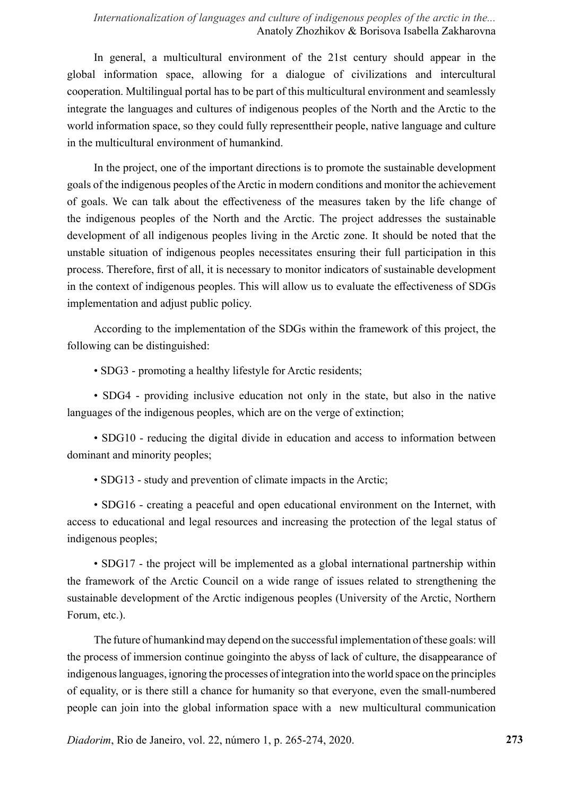### *Internationalization of languages and culture of indigenous peoples of the arctic in the...* Anatoly Zhozhikov & Borisova Isabella Zakharovna

In general, a multicultural environment of the 21st century should appear in the global information space, allowing for a dialogue of civilizations and intercultural cooperation. Multilingual portal has to be part of this multicultural environment and seamlessly integrate the languages and cultures of indigenous peoples of the North and the Arctic to the world information space, so they could fully representtheir people, native language and culture in the multicultural environment of humankind.

In the project, one of the important directions is to promote the sustainable development goals of the indigenous peoples of the Arctic in modern conditions and monitor the achievement of goals. We can talk about the effectiveness of the measures taken by the life change of the indigenous peoples of the North and the Arctic. The project addresses the sustainable development of all indigenous peoples living in the Arctic zone. It should be noted that the unstable situation of indigenous peoples necessitates ensuring their full participation in this process. Therefore, first of all, it is necessary to monitor indicators of sustainable development in the context of indigenous peoples. This will allow us to evaluate the effectiveness of SDGs implementation and adjust public policy.

According to the implementation of the SDGs within the framework of this project, the following can be distinguished:

• SDG3 - promoting a healthy lifestyle for Arctic residents;

• SDG4 - providing inclusive education not only in the state, but also in the native languages of the indigenous peoples, which are on the verge of extinction;

• SDG10 - reducing the digital divide in education and access to information between dominant and minority peoples;

• SDG13 - study and prevention of climate impacts in the Arctic;

• SDG16 - creating a peaceful and open educational environment on the Internet, with access to educational and legal resources and increasing the protection of the legal status of indigenous peoples;

• SDG17 - the project will be implemented as a global international partnership within the framework of the Arctic Council on a wide range of issues related to strengthening the sustainable development of the Arctic indigenous peoples (University of the Arctic, Northern Forum, etc.).

The future of humankind may depend on the successful implementation of these goals: will the process of immersion continue goinginto the abyss of lack of culture, the disappearance of indigenous languages, ignoring the processes of integration into the world space on the principles of equality, or is there still a chance for humanity so that everyone, even the small-numbered people can join into the global information space with a new multicultural communication

*Diadorim*, Rio de Janeiro, vol. 22, número 1, p. 265-274, 2020.